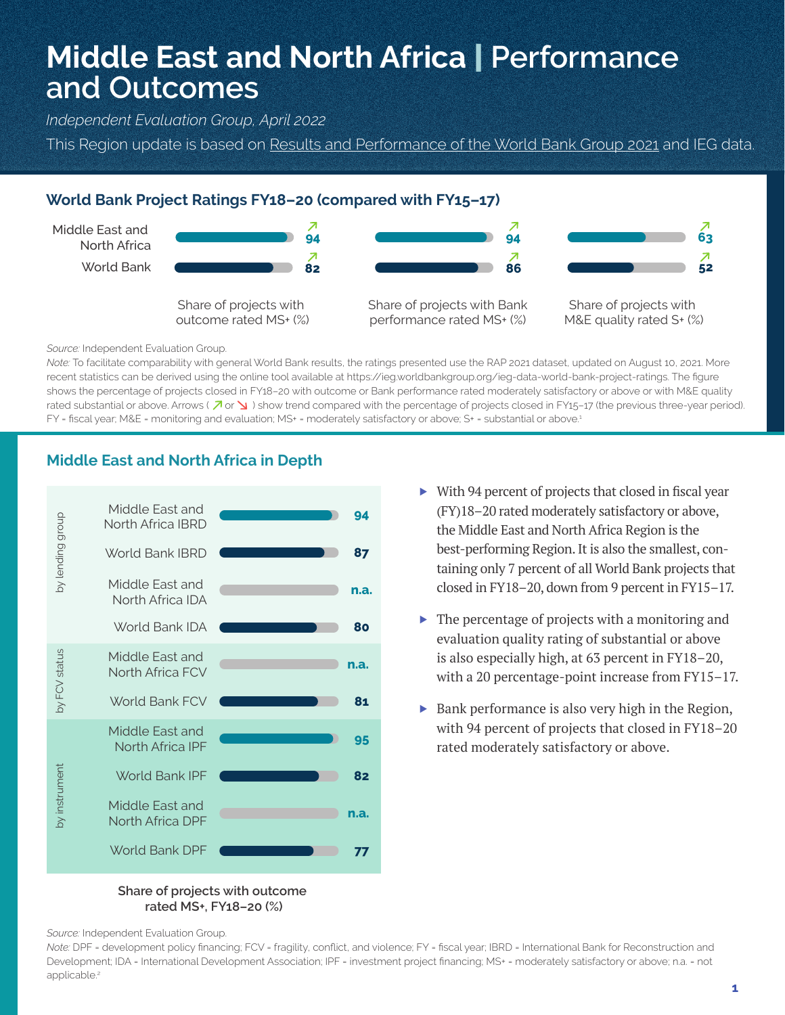# **Middle East and North Africa** | **Performance and Outcomes**

*Independent Evaluation Group, April 2022*

This Region update is based on Results and Performance of the World Bank Group 2021 and IEG data.

## **World Bank Project Ratings FY18–20 (compared with FY15–17)**



*Source:* Independent Evaluation Group.

*Note:* To facilitate comparability with general World Bank results, the ratings presented use the RAP 2021 dataset, updated on August 10, 2021. More recent statistics can be derived using the online tool available at https://ieg.worldbankgroup.org/ieg-data-world-bank-project-ratings. The figure shows the percentage of projects closed in FY18–20 with outcome or Bank performance rated moderately satisfactory or above or with M&E quality rated substantial or above. Arrows ( $\overline{A}$  or  $\overline{B}$ ) show trend compared with the percentage of projects closed in FY15–17 (the previous three-year period). FY = fiscal year; M&E = monitoring and evaluation; MS+ = moderately satisfactory or above; S+ = substantial or above.<sup>4</sup>



## **Middle East and North Africa in Depth**

- ▶ With 94 percent of projects that closed in fiscal year (FY)18–20 rated moderately satisfactory or above, the Middle East and North Africa Region is the best-performing Region. It is also the smallest, containing only 7 percent of all World Bank projects that closed in FY18–20, down from 9 percent in FY15–17.
- ▶ The percentage of projects with a monitoring and evaluation quality rating of substantial or above is also especially high, at 63 percent in FY18–20, with a 20 percentage-point increase from FY15–17.
- ▶ Bank performance is also very high in the Region, with 94 percent of projects that closed in FY18–20 rated moderately satisfactory or above.

#### **Share of projects with outcome rated MS+, FY18–20 (%)**

*Source:* Independent Evaluation Group.

*Note:* DPF = development policy financing; FCV = fragility, conflict, and violence; FY = fiscal year; IBRD = International Bank for Reconstruction and Development; IDA = International Development Association; IPF = investment project financing; MS+ = moderately satisfactory or above; n.a. = not applicable.<sup>2</sup>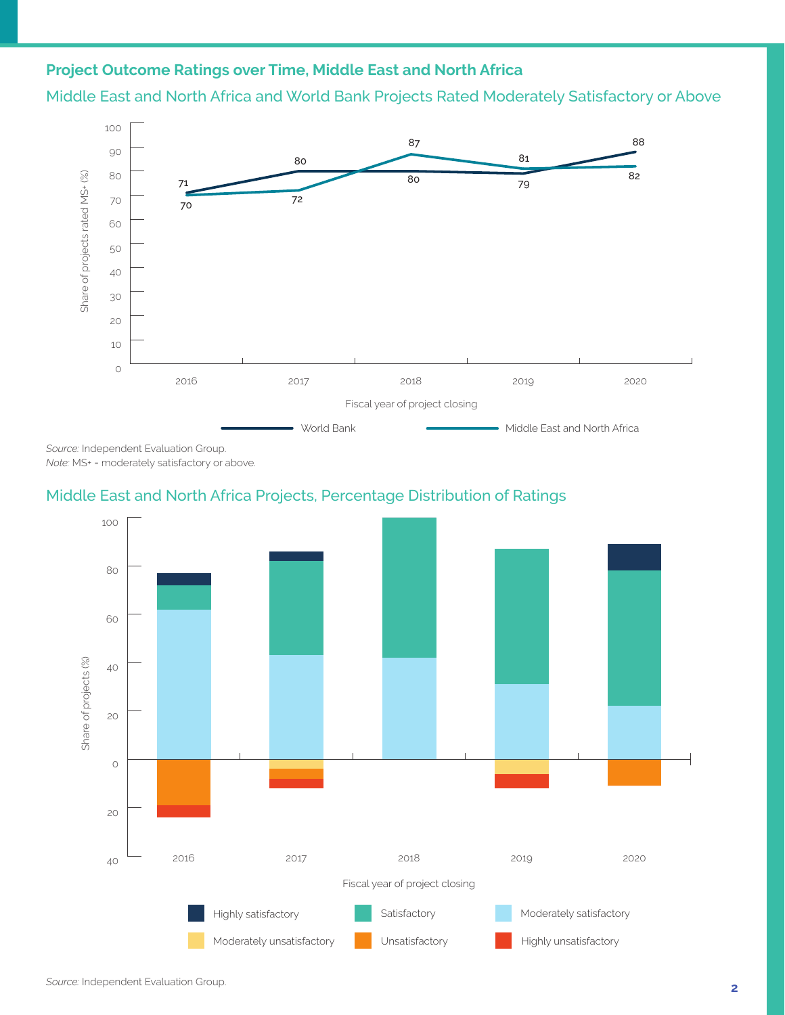# **Project Outcome Ratings over Time, Middle East and North Africa**

Middle East and North Africa and World Bank Projects Rated Moderately Satisfactory or Above



*Source:* Independent Evaluation Group. *Note:* MS+ = moderately satisfactory or above.

# Middle East and North Africa Projects, Percentage Distribution of Ratings